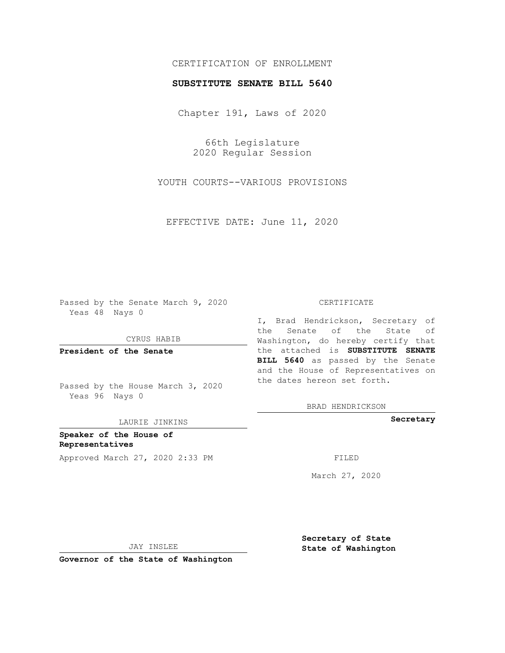# CERTIFICATION OF ENROLLMENT

### **SUBSTITUTE SENATE BILL 5640**

Chapter 191, Laws of 2020

66th Legislature 2020 Regular Session

YOUTH COURTS--VARIOUS PROVISIONS

EFFECTIVE DATE: June 11, 2020

Passed by the Senate March 9, 2020 Yeas 48 Nays 0

CYRUS HABIB

**President of the Senate**

Passed by the House March 3, 2020 Yeas 96 Nays 0

LAURIE JINKINS

**Speaker of the House of Representatives** Approved March 27, 2020 2:33 PM FILED

#### CERTIFICATE

I, Brad Hendrickson, Secretary of the Senate of the State of Washington, do hereby certify that the attached is **SUBSTITUTE SENATE BILL 5640** as passed by the Senate and the House of Representatives on the dates hereon set forth.

BRAD HENDRICKSON

**Secretary**

March 27, 2020

JAY INSLEE

**Governor of the State of Washington**

**Secretary of State State of Washington**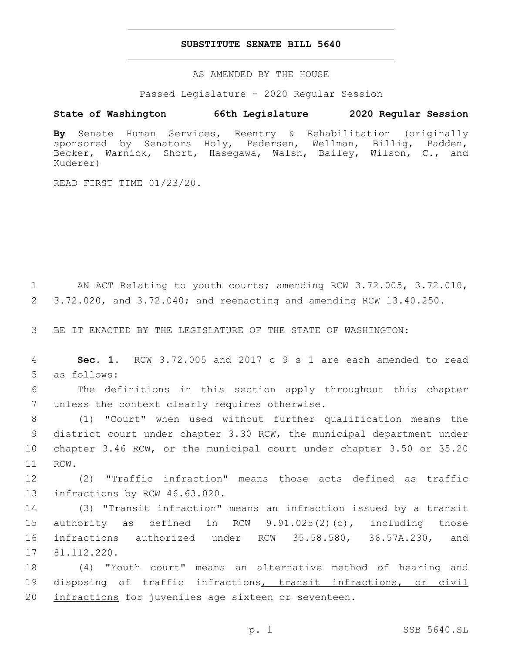### **SUBSTITUTE SENATE BILL 5640**

AS AMENDED BY THE HOUSE

Passed Legislature - 2020 Regular Session

## **State of Washington 66th Legislature 2020 Regular Session**

**By** Senate Human Services, Reentry & Rehabilitation (originally sponsored by Senators Holy, Pedersen, Wellman, Billig, Padden, Becker, Warnick, Short, Hasegawa, Walsh, Bailey, Wilson, C., and Kuderer)

READ FIRST TIME 01/23/20.

1 AN ACT Relating to youth courts; amending RCW 3.72.005, 3.72.010, 2 3.72.020, and 3.72.040; and reenacting and amending RCW 13.40.250.

3 BE IT ENACTED BY THE LEGISLATURE OF THE STATE OF WASHINGTON:

4 **Sec. 1.** RCW 3.72.005 and 2017 c 9 s 1 are each amended to read 5 as follows:

6 The definitions in this section apply throughout this chapter 7 unless the context clearly requires otherwise.

 (1) "Court" when used without further qualification means the district court under chapter 3.30 RCW, the municipal department under chapter 3.46 RCW, or the municipal court under chapter 3.50 or 35.20 11 RCW.

12 (2) "Traffic infraction" means those acts defined as traffic 13 infractions by RCW 46.63.020.

 (3) "Transit infraction" means an infraction issued by a transit authority as defined in RCW 9.91.025(2)(c), including those infractions authorized under RCW 35.58.580, 36.57A.230, and 17 81.112.220.

18 (4) "Youth court" means an alternative method of hearing and 19 disposing of traffic infractions, transit infractions, or civil 20 infractions for juveniles age sixteen or seventeen.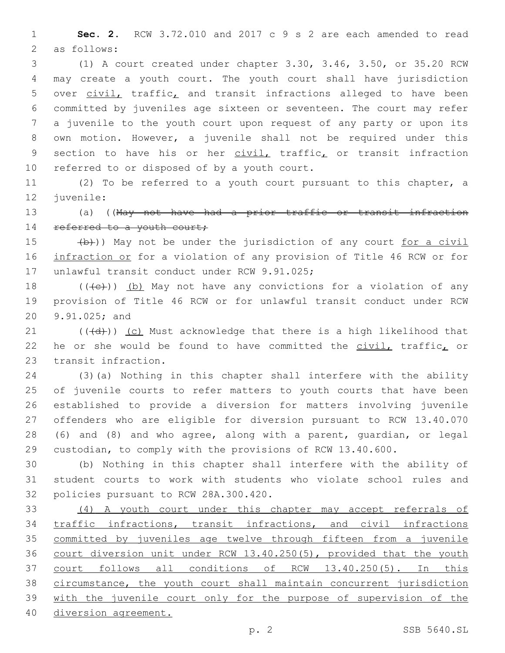1 **Sec. 2.** RCW 3.72.010 and 2017 c 9 s 2 are each amended to read 2 as follows:

 (1) A court created under chapter 3.30, 3.46, 3.50, or 35.20 RCW may create a youth court. The youth court shall have jurisdiction 5 over civil, traffic, and transit infractions alleged to have been committed by juveniles age sixteen or seventeen. The court may refer a juvenile to the youth court upon request of any party or upon its own motion. However, a juvenile shall not be required under this 9 section to have his or her civil, traffic, or transit infraction 10 referred to or disposed of by a youth court.

11 (2) To be referred to a youth court pursuant to this chapter, a 12 juvenile:

13 (a) ((May not have had a prior traffic or transit infraction 14 referred to a youth court;

 $(b)$ )) May not be under the jurisdiction of any court for a civil 16 infraction or for a violation of any provision of Title 46 RCW or for 17 unlawful transit conduct under RCW 9.91.025;

18  $((+e))$  (b) May not have any convictions for a violation of any 19 provision of Title 46 RCW or for unlawful transit conduct under RCW 20 9.91.025; and

21  $((\{d\}))(c)$  Must acknowledge that there is a high likelihood that 22 he or she would be found to have committed the civil, traffic, or 23 transit infraction.

 (3)(a) Nothing in this chapter shall interfere with the ability 25 of juvenile courts to refer matters to youth courts that have been established to provide a diversion for matters involving juvenile offenders who are eligible for diversion pursuant to RCW 13.40.070 (6) and (8) and who agree, along with a parent, guardian, or legal custodian, to comply with the provisions of RCW 13.40.600.

30 (b) Nothing in this chapter shall interfere with the ability of 31 student courts to work with students who violate school rules and 32 policies pursuant to RCW 28A.300.420.

 (4) A youth court under this chapter may accept referrals of traffic infractions, transit infractions, and civil infractions 35 committed by juveniles age twelve through fifteen from a juvenile court diversion unit under RCW 13.40.250(5), provided that the youth court follows all conditions of RCW 13.40.250(5). In this circumstance, the youth court shall maintain concurrent jurisdiction with the juvenile court only for the purpose of supervision of the diversion agreement.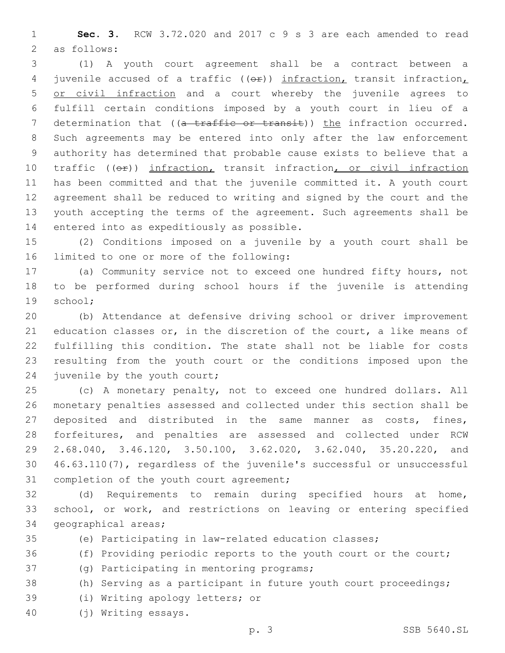**Sec. 3.** RCW 3.72.020 and 2017 c 9 s 3 are each amended to read 2 as follows:

 (1) A youth court agreement shall be a contract between a 4 juvenile accused of a traffic (( $\Theta$ )) infraction, transit infraction, or civil infraction and a court whereby the juvenile agrees to fulfill certain conditions imposed by a youth court in lieu of a 7 determination that ((a traffic or transit)) the infraction occurred. Such agreements may be entered into only after the law enforcement authority has determined that probable cause exists to believe that a 10 traffic (( $\Theta$ )) infraction, transit infraction, or civil infraction has been committed and that the juvenile committed it. A youth court agreement shall be reduced to writing and signed by the court and the youth accepting the terms of the agreement. Such agreements shall be 14 entered into as expeditiously as possible.

 (2) Conditions imposed on a juvenile by a youth court shall be 16 limited to one or more of the following:

 (a) Community service not to exceed one hundred fifty hours, not to be performed during school hours if the juvenile is attending 19 school;

 (b) Attendance at defensive driving school or driver improvement education classes or, in the discretion of the court, a like means of fulfilling this condition. The state shall not be liable for costs resulting from the youth court or the conditions imposed upon the 24 juvenile by the youth court;

 (c) A monetary penalty, not to exceed one hundred dollars. All monetary penalties assessed and collected under this section shall be deposited and distributed in the same manner as costs, fines, forfeitures, and penalties are assessed and collected under RCW 2.68.040, 3.46.120, 3.50.100, 3.62.020, 3.62.040, 35.20.220, and 46.63.110(7), regardless of the juvenile's successful or unsuccessful 31 completion of the youth court agreement;

 (d) Requirements to remain during specified hours at home, school, or work, and restrictions on leaving or entering specified 34 geographical areas;

(e) Participating in law-related education classes;

36 (f) Providing periodic reports to the youth court or the court;

37 (g) Participating in mentoring programs;

(h) Serving as a participant in future youth court proceedings;

39 (i) Writing apology letters; or

(j) Writing essays.40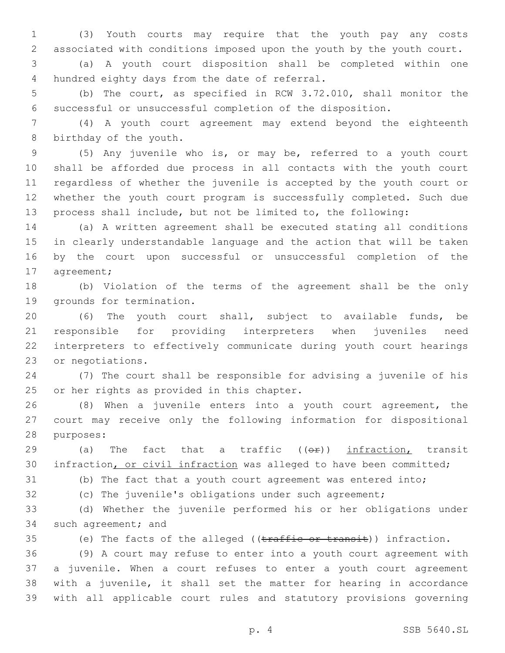(3) Youth courts may require that the youth pay any costs associated with conditions imposed upon the youth by the youth court.

 (a) A youth court disposition shall be completed within one 4 hundred eighty days from the date of referral.

 (b) The court, as specified in RCW 3.72.010, shall monitor the successful or unsuccessful completion of the disposition.

 (4) A youth court agreement may extend beyond the eighteenth 8 birthday of the youth.

 (5) Any juvenile who is, or may be, referred to a youth court shall be afforded due process in all contacts with the youth court regardless of whether the juvenile is accepted by the youth court or whether the youth court program is successfully completed. Such due process shall include, but not be limited to, the following:

 (a) A written agreement shall be executed stating all conditions in clearly understandable language and the action that will be taken by the court upon successful or unsuccessful completion of the 17 agreement;

 (b) Violation of the terms of the agreement shall be the only 19 grounds for termination.

 (6) The youth court shall, subject to available funds, be responsible for providing interpreters when juveniles need interpreters to effectively communicate during youth court hearings 23 or negotiations.

 (7) The court shall be responsible for advising a juvenile of his 25 or her rights as provided in this chapter.

 (8) When a juvenile enters into a youth court agreement, the court may receive only the following information for dispositional 28 purposes:

29 (a) The fact that a traffic  $((\Theta \oplus))$  infraction, transit infraction, or civil infraction was alleged to have been committed;

(b) The fact that a youth court agreement was entered into;

(c) The juvenile's obligations under such agreement;

 (d) Whether the juvenile performed his or her obligations under 34 such agreement; and

35 (e) The facts of the alleged ((traffic or transit)) infraction.

 (9) A court may refuse to enter into a youth court agreement with a juvenile. When a court refuses to enter a youth court agreement with a juvenile, it shall set the matter for hearing in accordance with all applicable court rules and statutory provisions governing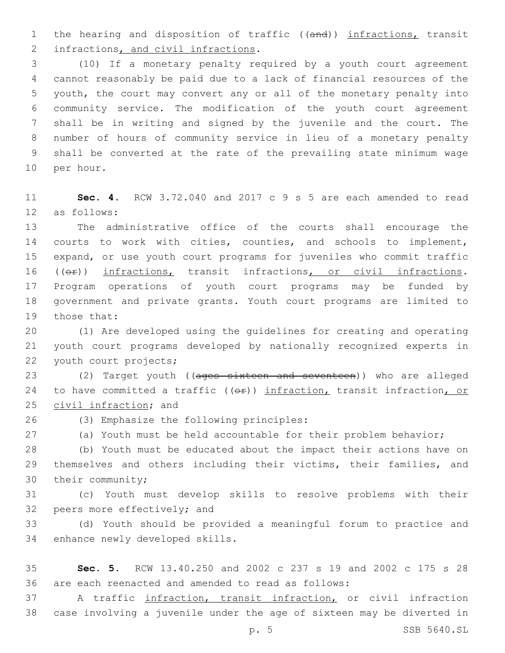1 the hearing and disposition of traffic ((and)) infractions, transit 2 infractions, and civil infractions.

 (10) If a monetary penalty required by a youth court agreement cannot reasonably be paid due to a lack of financial resources of the youth, the court may convert any or all of the monetary penalty into community service. The modification of the youth court agreement shall be in writing and signed by the juvenile and the court. The number of hours of community service in lieu of a monetary penalty shall be converted at the rate of the prevailing state minimum wage 10 per hour.

 **Sec. 4.** RCW 3.72.040 and 2017 c 9 s 5 are each amended to read 12 as follows:

 The administrative office of the courts shall encourage the courts to work with cities, counties, and schools to implement, expand, or use youth court programs for juveniles who commit traffic 16 (( $\Theta$ )) infractions, transit infractions, or civil infractions. Program operations of youth court programs may be funded by government and private grants. Youth court programs are limited to 19 those that:

 (1) Are developed using the guidelines for creating and operating youth court programs developed by nationally recognized experts in 22 youth court projects;

23 (2) Target youth ((ages sixteen and seventeen)) who are alleged 24 to have committed a traffic (( $\Theta$ r)) infraction, transit infraction, or 25 civil infraction; and

(3) Emphasize the following principles:26

(a) Youth must be held accountable for their problem behavior;

 (b) Youth must be educated about the impact their actions have on themselves and others including their victims, their families, and 30 their community;

 (c) Youth must develop skills to resolve problems with their 32 peers more effectively; and

 (d) Youth should be provided a meaningful forum to practice and 34 enhance newly developed skills.

 **Sec. 5.** RCW 13.40.250 and 2002 c 237 s 19 and 2002 c 175 s 28 are each reenacted and amended to read as follows:

 A traffic infraction, transit infraction, or civil infraction case involving a juvenile under the age of sixteen may be diverted in

p. 5 SSB 5640.SL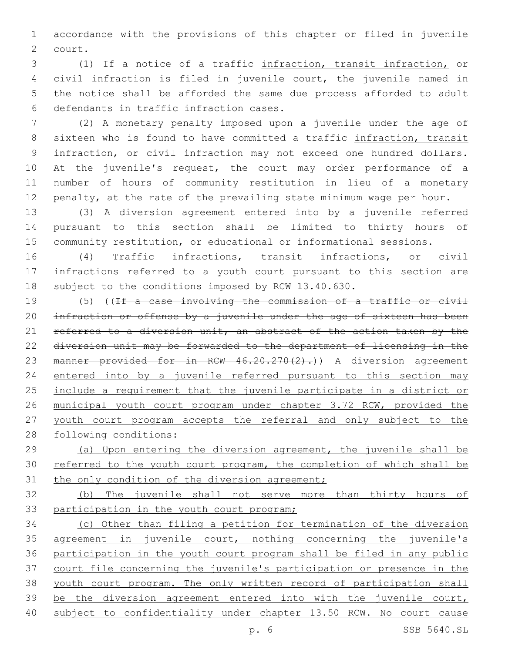accordance with the provisions of this chapter or filed in juvenile 2 court.

 (1) If a notice of a traffic infraction, transit infraction, or civil infraction is filed in juvenile court, the juvenile named in the notice shall be afforded the same due process afforded to adult 6 defendants in traffic infraction cases.

 (2) A monetary penalty imposed upon a juvenile under the age of 8 sixteen who is found to have committed a traffic infraction, transit 9 infraction, or civil infraction may not exceed one hundred dollars. At the juvenile's request, the court may order performance of a number of hours of community restitution in lieu of a monetary penalty, at the rate of the prevailing state minimum wage per hour.

 (3) A diversion agreement entered into by a juvenile referred pursuant to this section shall be limited to thirty hours of community restitution, or educational or informational sessions.

 (4) Traffic infractions, transit infractions, or civil infractions referred to a youth court pursuant to this section are subject to the conditions imposed by RCW 13.40.630.

 (5) ((If a case involving the commission of a traffic or civil 20 infraction or offense by a juvenile under the age of sixteen has been 21 referred to a diversion unit, an abstract of the action taken by the diversion unit may be forwarded to the department of licensing in the 23 manner provided for in RCW 46.20.270(2).) A diversion agreement 24 entered into by a juvenile referred pursuant to this section may include a requirement that the juvenile participate in a district or municipal youth court program under chapter 3.72 RCW, provided the youth court program accepts the referral and only subject to the following conditions:

 (a) Upon entering the diversion agreement, the juvenile shall be referred to the youth court program, the completion of which shall be 31 the only condition of the diversion agreement;

 (b) The juvenile shall not serve more than thirty hours of 33 participation in the youth court program;

 (c) Other than filing a petition for termination of the diversion 35 agreement in juvenile court, nothing concerning the juvenile's participation in the youth court program shall be filed in any public court file concerning the juvenile's participation or presence in the youth court program. The only written record of participation shall 39 be the diversion agreement entered into with the juvenile court, subject to confidentiality under chapter 13.50 RCW. No court cause